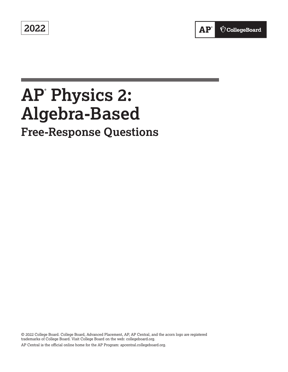**2022** 

# **AP® Physics 2: Algebra-Based Free-Response Questions**

© 2022 College Board. College Board, Advanced Placement, AP, AP Central, and the acorn logo are registered trademarks of College Board. Visit College Board on the web: [collegeboard.org.](https://collegeboard.org) AP Central is the official online home for the AP Program: [apcentral.collegeboard.org.](https://apcentral.collegeboard.org)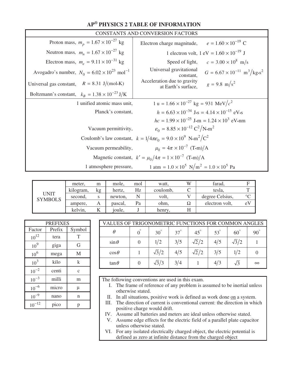## **AP® PHYSICS 2 TABLE OF INFORMATION**

| <b>CONSTANTS AND CONVERSION FACTORS</b>                          |                                                                                                           |  |  |  |  |  |
|------------------------------------------------------------------|-----------------------------------------------------------------------------------------------------------|--|--|--|--|--|
| Proton mass, $m_p = 1.67 \times 10^{-27}$ kg                     | $e = 1.60 \times 10^{-19}$ C<br>Electron charge magnitude,                                                |  |  |  |  |  |
| Neutron mass, $m_n = 1.67 \times 10^{-27}$ kg                    | 1 electron volt, $1 \text{ eV} = 1.60 \times 10^{-19} \text{ J}$                                          |  |  |  |  |  |
| Electron mass, $m_e = 9.11 \times 10^{-31}$ kg                   | Speed of light,<br>$c = 3.00 \times 10^8$ m/s                                                             |  |  |  |  |  |
| Avogadro's number, $N_0 = 6.02 \times 10^{23}$ mol <sup>-1</sup> | Universal gravitational<br>$G = 6.67 \times 10^{-11} \text{ m}^3/\text{kg} \cdot \text{s}^2$<br>constant, |  |  |  |  |  |
| Universal gas constant, $R = 8.31 \text{ J/(mol·K)}$             | Acceleration due to gravity<br>$g = 9.8$ m/s <sup>2</sup><br>at Earth's surface,                          |  |  |  |  |  |
| Boltzmann's constant, $k_B = 1.38 \times 10^{-23} \text{ J/K}$   |                                                                                                           |  |  |  |  |  |
| 1 unified atomic mass unit,                                      | 1 u = $1.66 \times 10^{-27}$ kg = 931 MeV/ $c^2$                                                          |  |  |  |  |  |
| Planck's constant,                                               | $h = 6.63 \times 10^{-34}$ J·s = 4.14 $\times 10^{-15}$ eV·s                                              |  |  |  |  |  |
|                                                                  | $hc = 1.99 \times 10^{-25}$ J·m = $1.24 \times 10^{3}$ eV·nm                                              |  |  |  |  |  |
| Vacuum permittivity,                                             | $\varepsilon_0 = 8.85 \times 10^{-12} \text{ C}^2/\text{N} \cdot \text{m}^2$                              |  |  |  |  |  |
|                                                                  | Coulomb's law constant, $k = 1/4\pi\epsilon_0 = 9.0 \times 10^9 \text{ N} \cdot \text{m}^2/\text{C}^2$    |  |  |  |  |  |
| Vacuum permeability,                                             | $\mu_0 = 4\pi \times 10^{-7}$ (T.m)/A                                                                     |  |  |  |  |  |
|                                                                  | Magnetic constant, $k' = \mu_0/4\pi = 1 \times 10^{-7}$ (T-m)/A                                           |  |  |  |  |  |
| 1 atmosphere pressure,                                           | $1 \text{ atm} = 1.0 \times 10^5 \text{ N/m}^2 = 1.0 \times 10^5 \text{ Pa}$                              |  |  |  |  |  |

|                               | meter.    | m  | mole.   | mol | watt,    | W | farad,          |         |
|-------------------------------|-----------|----|---------|-----|----------|---|-----------------|---------|
|                               | kilogram, | kg | hertz.  | Hz  | coulomb, |   | tesla,          |         |
| <b>UNIT</b><br><b>SYMBOLS</b> | second.   | S  | newton, |     | volt.    |   | degree Celsius, | $\circ$ |
|                               | ampere,   | Α  | pascal, | Pa  | ohm,     | Ω | electron volt,  | eV      |
|                               | kelvin.   |    | joule,  |     | henry.   |   |                 |         |

| <b>PREFIXES</b> |        |              |  |  |  |
|-----------------|--------|--------------|--|--|--|
| Factor          | Prefix | Symbol       |  |  |  |
| $10^{12}$       | tera   | T            |  |  |  |
| 10 <sup>9</sup> | giga   | G            |  |  |  |
| 10 <sup>6</sup> | mega   | M            |  |  |  |
| 10 <sup>3</sup> | kilo   | k            |  |  |  |
| $10^{-2}$       | centi  | $\mathbf{C}$ |  |  |  |
| $10^{-3}$       | milli  | m            |  |  |  |
| $10^{-6}$       | micro  | μ            |  |  |  |
| $10^{-9}$       | nano   | n            |  |  |  |
| $10^{-12}$      | pico   |              |  |  |  |

| VALUES OF TRIGONOMETRIC FUNCTIONS FOR COMMON ANGLES |  |              |            |              |            |              |              |
|-----------------------------------------------------|--|--------------|------------|--------------|------------|--------------|--------------|
| $\theta$                                            |  | $30^\circ$   | $37^\circ$ | $45^\circ$   | $53^\circ$ | $60^\circ$   | $90^{\circ}$ |
| $\sin \theta$                                       |  | 1/2          | 3/5        | $\sqrt{2}/2$ | 4/5        | $\sqrt{3}/2$ |              |
| $\cos\theta$                                        |  | $\sqrt{3}/2$ | 4/5        | $\sqrt{2}/2$ | 3/5        | 1/2          |              |
| $\tan \theta$                                       |  | $\sqrt{3}/3$ | 3/4        |              | 4/3        | $\sqrt{3}$   | $\infty$     |

The following conventions are used in this exam.

- I. The frame of reference of any problem is assumed to be inertial unless otherwise stated.
- II. In all situations, positive work is defined as work done on a system.
- III. The direction of current is conventional current: the direction in which positive charge would drift.
- IV. Assume all batteries and meters are ideal unless otherwise stated.
- V. Assume edge effects for the electric field of a parallel plate capacitor unless otherwise stated.
- VI. For any isolated electrically charged object, the electric potential is defined as zero at infinite distance from the charged object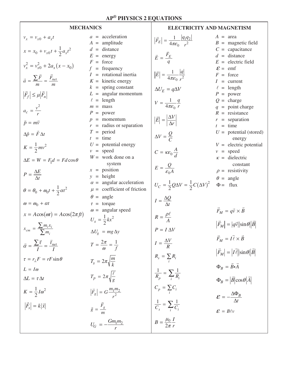## **MECHANICS**

## **ELECTRICITY AND MAGNETISM**

$$
v_x = v_{x0} + a_x t
$$
\n
$$
x = x_0 + v_{x0}t + \frac{1}{2}a_x t^2
$$
\n
$$
x = x_0 + v_{x0}t + \frac{1}{2}a_x t^2
$$
\n
$$
x = \frac{\sum F}{m} = \frac{F_{act}}{m}
$$
\n
$$
F = \begin{bmatrix} \frac{F}{c} \\ \frac{F}{c} \end{bmatrix} = \frac{F_{act}}{4\pi c_0} \Rightarrow \frac{F}{r^2}
$$
\n
$$
F = \begin{bmatrix} \frac{F}{c} \\ \frac{F}{c} \end{bmatrix} = \frac{F_{act}}{4\pi c_0} \Rightarrow \frac{F}{r^2}
$$
\n
$$
F = \begin{bmatrix} \frac{F}{c} \\ \frac{F}{c} \end{bmatrix} = \frac{F_{act}}{4\pi c_0} \Rightarrow \frac{F}{r}
$$
\n
$$
F = \begin{bmatrix} \frac{F}{c} \\ \frac{F}{c} \end{bmatrix} = \frac{F_{act}}{4\pi c_0} \Rightarrow \frac{F}{r}
$$
\n
$$
F = \begin{bmatrix} \frac{F}{c} \\ \frac{F}{c} \end{bmatrix} = \frac{F_{act}}{4\pi c_0} \Rightarrow \frac{F}{r}
$$
\n
$$
F = \begin{bmatrix} \frac{F}{c} \\ \frac{F}{c} \end{bmatrix} = \frac{F_{act}}{4\pi c_0} \Rightarrow \frac{F}{r}
$$
\n
$$
F = \begin{bmatrix} \frac{F}{c} \\ \frac{F}{c} \end{bmatrix} = \frac{F_{act}}{4\pi c_0} \Rightarrow \frac{F}{c}
$$
\n
$$
F = \begin{bmatrix} \frac{F}{c} \\ \frac{F}{c} \end{bmatrix} = \frac{F_{act}}{4\pi c_0} \Rightarrow \frac{F}{c}
$$
\n
$$
F = \begin{bmatrix} \frac{F}{c} \\ \frac{F}{c} \end{bmatrix} = \frac{F_{act}}{4\pi c_0} \Rightarrow \frac{F}{c}
$$
\n
$$
F = \begin{bmatrix} \frac{F}{c} \\ \frac{F}{c} \end{bmatrix} = \frac{F_{act}}{4\pi c_0} \Rightarrow \frac{F}{c}
$$
\n
$$
F = \
$$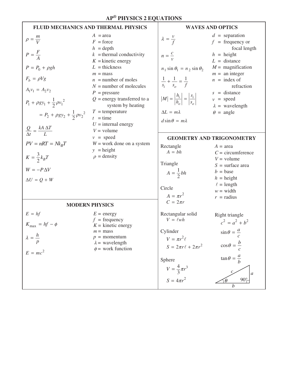#### **FLUID MECHANICS AND THERMAL PHYSICS** *A =*area  $F =$  force  $h =$  depth  $k =$  thermal conductivity  $K =$ kinetic energy  $L =$ thickness  $m =$ mass  $n =$  number of moles  $N =$  number of molecules  $P =$ pressure *Q* = energy transferred to a system by heating  $T =$  temperature  $t =$  time  $U =$  internal energy  $V =$  volume  $v = speed$  $W =$  work done on a system  $y = height$  $\rho$  = density  $\rho = \frac{m}{V}$  $P = \frac{F}{A}$  $P = P_0 + \rho g h$  $F_b = \rho V g$  $A_1v_1 = A_2v_2$  $P_1 + \rho g y_1 + \frac{1}{2} \rho {v_1}^2$  $P_2 + \rho g y_2 + \frac{1}{2} \rho {v_2}^2$ 1  $P_1 + \rho g y_1 + \frac{1}{2} \rho v$ 1  $= P_2 + \rho g y_2 + \frac{1}{2} \rho v$  $Q - kA \Delta T$ *t L*  $\frac{Q}{\Delta t} = \frac{kA \Delta}{L}$  $PV = nRT = Nk_B T$  $K = \frac{3}{2} k_B T$  $W = -P\Delta V$  $\Delta U = O + W$ **MODERN PHYSICS**  $E =$  energy  $f = \text{frequency}$  $K =$  kinetic energy  $m =$  mass *p* = momentum  $\lambda$  = wavelength  $\phi$  = work function  $E = hf$  $K_{\text{max}} = hf - \phi$ *h*  $\lambda = \frac{n}{p}$  $E = mc^2$ **WAVES AND OPTICS** *d* = separation  $f =$  frequency or focal length  $h$  = height  $L =$  distance  $M =$  magnification  $m =$ an integer  $n =$  index of refraction *s* = distance  $v = speed$  $\lambda$  = wavelength  $\theta$  = angle  $\lambda = \frac{v}{f}$  $n = \frac{c}{v}$  $n_1 \sin \theta_1 = n_2 \sin \theta_2$  $\frac{1}{s_i} + \frac{1}{s_o} = \frac{1}{f}$ *i o*  $|M| = \left| \frac{h_i}{h_o} \right| = \left| \frac{s_i}{s_o} \right|$ *s s*  $\Delta L = m\lambda$  $d \sin \theta = m\lambda$ **GEOMETRY AND TRIGONOMETRY**  $A = \text{area}$ *C* = circumference  $V =$  volume *S* = surface area  $b = \text{base}$  $h =$ height  $\ell =$  length  $w = \text{width}$  $r =$  radius Rectangle  $A = bh$ Triangle  $A = \frac{1}{2}bh$ Circle  $A = \pi r^2$  $C = 2\pi r$ Rectangular solid  $V = \ell wh$ Cylinder  $V = \pi r^2 \ell$  $S = 2\pi r \ell + 2\pi r^2$ Sphere  $V = \frac{4}{3}\pi r^3$  $S = 4\pi r^2$ Right triangle  $c^2 = a^2 + b^2$  $\sin \theta = \frac{a}{c}$  $\cos \theta = \frac{b}{b}$  $\theta = \frac{b}{c}$  $\tan \theta = \frac{a}{b}$ *c a b q* 90°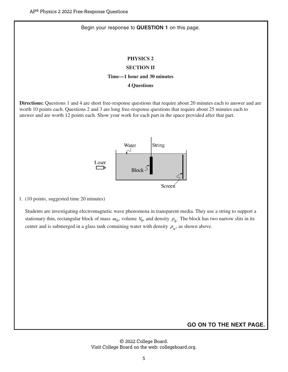#### Begin your response to **QUESTION 1** on this page.

#### **PHYSICS 2**

## **SECTION II**

#### **Time—1 hour and 30 minutes**

#### **4 Questions**

**Directions:** Questions 1 and 4 are short free-response questions that require about 20 minutes each to answer and are worth 10 points each. Questions 2 and 3 are long free-response questions that require about 25 minutes each to answer and are worth 12 points each. Show your work for each part in the space provided after that part.



1. (10 points, suggested time 20 minutes)

Students are investigating electromagnetic wave phenomena in transparent media. They use a string to support a stationary thin, rectangular block of mass  $m_b$ , volume  $V_b$ , and density  $\rho_b$ . The block has two narrow slits in its center and is submerged in a glass tank containing water with density  $\rho_w$ , as shown above.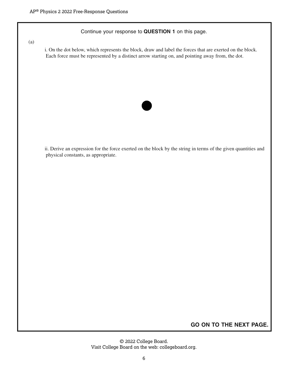Continue your response to **QUESTION 1** on this page.

(a)

i. On the dot below, which represents the block, draw and label the forces that are exerted on the block. Each force must be represented by a distinct arrow starting on, and pointing away from, the dot.



ii. Derive an expression for the force exerted on the block by the string in terms of the given quantities and physical constants, as appropriate.

**GO ON TO THE NEXT PAGE.**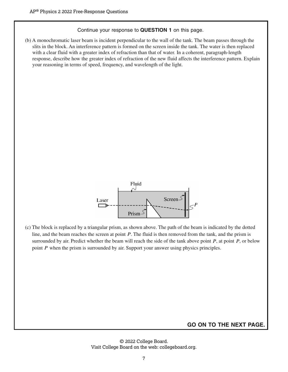#### Continue your response to **QUESTION 1** on this page.

(b) A monochromatic laser beam is incident perpendicular to the wall of the tank. The beam passes through the slits in the block. An interference pattern is formed on the screen inside the tank. The water is then replaced with a clear fluid with a greater index of refraction than that of water. In a coherent, paragraph-length response, describe how the greater index of refraction of the new fluid affects the interference pattern. Explain your reasoning in terms of speed, frequency, and wavelength of the light.



(c) The block is replaced by a triangular prism, as shown above. The path of the beam is indicated by the dotted line, and the beam reaches the screen at point *P*. The fluid is then removed from the tank, and the prism is surrounded by air. Predict whether the beam will reach the side of the tank above point *P*, at point *P*, or below point *P* when the prism is surrounded by air. Support your answer using physics principles.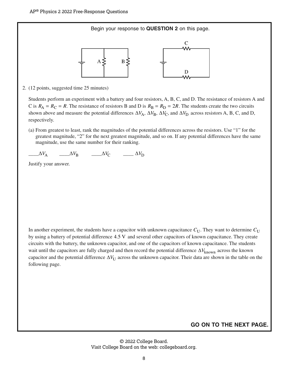Begin your response to **QUESTION 2** on this page.



2. (12 points, suggested time 25 minutes)

Students perform an experiment with a battery and four resistors, A, B, C, and D. The resistance of resistors A and C is  $R_A = R_C = R$ . The resistance of resistors B and D is  $R_B = R_D = 2R$ . The students create the two circuits shown above and measure the potential differences  $\Delta V_A$ ,  $\Delta V_B$ ,  $\Delta V_C$ , and  $\Delta V_D$  across resistors A, B, C, and D, respectively.

(a) From greatest to least, rank the magnitudes of the potential differences across the resistors. Use "1" for the greatest magnitude, "2" for the next greatest magnitude, and so on. If any potential differences have the same magnitude, use the same number for their ranking.

 $\Delta V_{\rm A}$   $\Delta V_{\rm B}$   $\Delta V_{\rm C}$   $\Delta V_{\rm D}$ 

Justify your answer.

In another experiment, the students have a capacitor with unknown capacitance  $C_{U}$ . They want to determine  $C_{U}$ by using a battery of potential difference 4.5 V and several other capacitors of known capacitance. They create circuits with the battery, the unknown capacitor, and one of the capacitors of known capacitance. The students wait until the capacitors are fully charged and then record the potential difference Δ*V*<sub>known</sub> across the known capacitor and the potential difference  $\Delta V_U$  across the unknown capacitor. Their data are shown in the table on the following page.

## **GO ON TO THE NEXT PAGE.**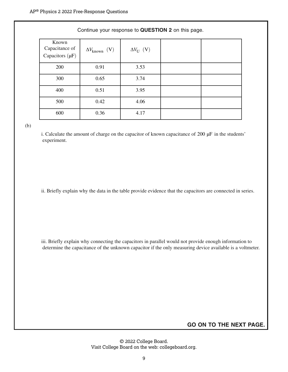#### Continue your response to **QUESTION 2** on this page.

| Known<br>Capacitance of<br>Capacitors $(\mu F)$ | $\Delta V_{\text{known}}$ (V) | $\Delta V_U$ (V) |  |
|-------------------------------------------------|-------------------------------|------------------|--|
| 200                                             | 0.91                          | 3.53             |  |
| 300                                             | 0.65                          | 3.74             |  |
| 400                                             | 0.51                          | 3.95             |  |
| 500                                             | 0.42                          | 4.06             |  |
| 600                                             | 0.36                          | 4.17             |  |

(b)

i. Calculate the amount of charge on the capacitor of known capacitance of 200 μF in the students' experiment.

ii. Briefly explain why the data in the table provide evidence that the capacitors are connected in series.

iii. Briefly explain why connecting the capacitors in parallel would not provide enough information to determine the capacitance of the unknown capacitor if the only measuring device available is a voltmeter.

**GO ON TO THE NEXT PAGE.**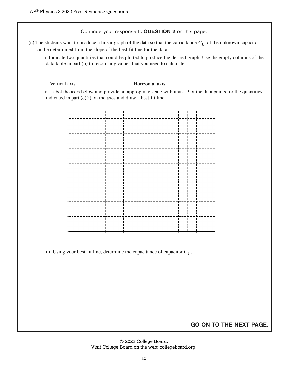Continue your response to **QUESTION 2** on this page.

(c) The students want to produce a linear graph of the data so that the capacitance  $C_{U}$  of the unknown capacitor can be determined from the slope of the best-fit line for the data.

i. Indicate two quantities that could be plotted to produce the desired graph. Use the empty columns of the data table in part (b) to record any values that you need to calculate.

Vertical axis \_\_\_\_\_\_\_\_\_\_\_\_\_\_\_\_\_ Horizontal axis \_\_\_\_\_\_\_\_\_\_\_\_\_\_\_\_\_

ii. Label the axes below and provide an appropriate scale with units. Plot the data points for the quantities indicated in part  $(c)(i)$  on the axes and draw a best-fit line.



iii. Using your best-fit line, determine the capacitance of capacitor  $C_U$ .

**GO ON TO THE NEXT PAGE.**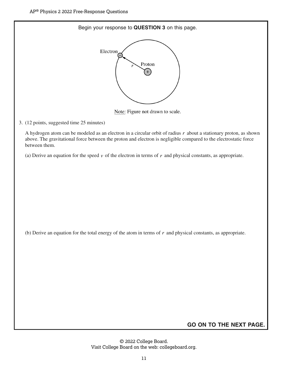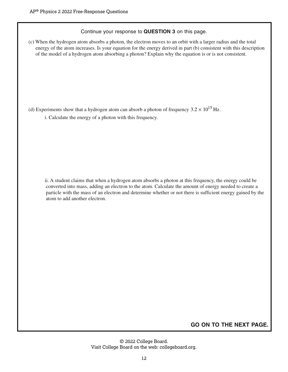Continue your response to **QUESTION 3** on this page.

(c) When the hydrogen atom absorbs a photon, the electron moves to an orbit with a larger radius and the total energy of the atom increases. Is your equation for the energy derived in part (b) consistent with this description of the model of a hydrogen atom absorbing a photon? Explain why the equation is or is not consistent.

(d) Experiments show that a hydrogen atom can absorb a photon of frequency  $3.2 \times 10^{15}$  Hz.

i. Calculate the energy of a photon with this frequency.

ii. A student claims that when a hydrogen atom absorbs a photon at this frequency, the energy could be converted into mass, adding an electron to the atom. Calculate the amount of energy needed to create a particle with the mass of an electron and determine whether or not there is sufficient energy gained by the atom to add another electron.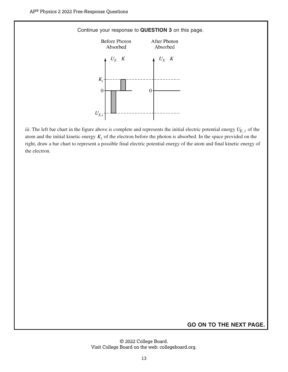

iii. The left bar chart in the figure above is complete and represents the initial electric potential energy  $U_{E,i}$  of the atom and the initial kinetic energy  $K_i$  of the electron before the photon is absorbed. In the space provided on the right, draw a bar chart to represent a possible final electric potential energy of the atom and final kinetic energy of the electron.

## **GO ON TO THE NEXT PAGE.**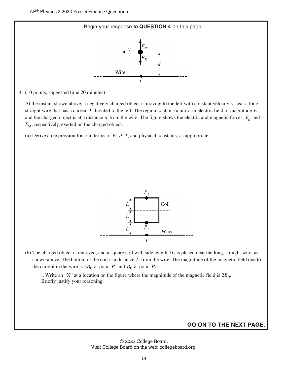

4. (10 points, suggested time 20 minutes)

At the instant shown above, a negatively charged object is moving to the left with constant velocity  $\nu$  near a long, straight wire that has a current *I* directed to the left. The region contains a uniform electric field of magnitude *E*, and the charged object is at a distance  $d$  from the wire. The figure shows the electric and magnetic forces,  $F_E$  and *F<sub>M</sub>*, respectively, exerted on the charged object.

(a) Derive an expression for  $\nu$  in terms of  $E$ ,  $d$ ,  $I$ , and physical constants, as appropriate.



(b) The charged object is removed, and a square coil with side length 2*L* is placed near the long, straight wire, as shown above. The bottom of the coil is a distance *L* from the wire. The magnitude of the magnetic field due to the current in the wire is  $3B_0$  at point  $P_1$  and  $B_0$  at point  $P_2$ .

i. Write an "X" at a location on the figure where the magnitude of the magnetic field is  $2B_0$ . Briefly justify your reasoning.

#### **GO ON TO THE NEXT PAGE.**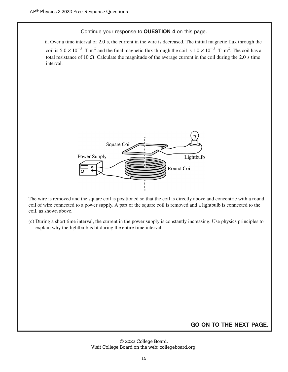Continue your response to **QUESTION 4** on this page.

ii. Over a time interval of 2.0 s, the current in the wire is decreased. The initial magnetic flux through the coil is  $5.0 \times 10^{-5}$  T⋅m<sup>2</sup> and the final magnetic flux through the coil is  $1.0 \times 10^{-5}$  T⋅m<sup>2</sup>. The coil has a total resistance of 10 Ω. Calculate the magnitude of the average current in the coil during the 2.0 s time interval.



The wire is removed and the square coil is positioned so that the coil is directly above and concentric with a round coil of wire connected to a power supply. A part of the square coil is removed and a lightbulb is connected to the coil, as shown above.

(c) During a short time interval, the current in the power supply is constantly increasing. Use physics principles to explain why the lightbulb is lit during the entire time interval.